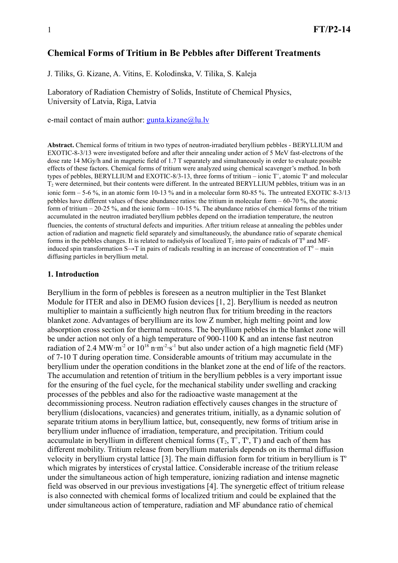# **Chemical Forms of Tritium in Be Pebbles after Different Treatments**

J. Tiliks, G. Kizane, A. Vitins, E. Kolodinska, V. Tilika, S. Kaleja

Laboratory of Radiation Chemistry of Solids, Institute of Chemical Physics, University of Latvia, Riga, Latvia

e-mail contact of main author:  $gunta.kizane@lu.lv$ 

**Abstract.** Chemical forms of tritium in two types of neutron-irradiated beryllium pebbles - BERYLLIUM and EXOTIC-8-3/13 were investigated before and after their annealing under action of 5 MeV fast-electrons of the dose rate 14 MGy/h and in magnetic field of 1.7 T separately and simultaneously in order to evaluate possible effects of these factors. Chemical forms of tritium were analyzed using chemical scavenger's method. In both types of pebbles, BERYLLIUM and EXOTIC-8/3-13, three forms of tritium – ionic  $T^+$ , atomic  $T^0$  and molecular  $T_2$  were determined, but their contents were different. In the untreated BERYLLIUM pebbles, tritium was in an ionic form – 5-6 %, in an atomic form 10-13 % and in a molecular form 80-85 %. The untreated EXOTIC 8-3/13 pebbles have different values of these abundance ratios: the tritium in molecular form – 60-70 %, the atomic form of tritium – 20-25 %, and the ionic form – 10-15 %. The abundance ratios of chemical forms of the tritium accumulated in the neutron irradiated beryllium pebbles depend on the irradiation temperature, the neutron fluencies, the contents of structural defects and impurities. After tritium release at annealing the pebbles under action of radiation and magnetic field separately and simultaneously, the abundance ratio of separate chemical forms in the pebbles changes. It is related to radiolysis of localized  $T_2$  into pairs of radicals of  $T^0$  and MFinduced spin transformation S $\rightarrow$ T in pairs of radicals resulting in an increase of concentration of T<sup>0</sup> – main diffusing particles in beryllium metal.

### **1. Introduction**

Beryllium in the form of pebbles is foreseen as a neutron multiplier in the Test Blanket Module for ITER and also in DEMO fusion devices [1, 2]. Beryllium is needed as neutron multiplier to maintain a sufficiently high neutron flux for tritium breeding in the reactors blanket zone. Advantages of beryllium are its low Z number, high melting point and low absorption cross section for thermal neutrons. The beryllium pebbles in the blanket zone will be under action not only of a high temperature of 900-1100 K and an intense fast neutron radiation of 2.4 MW·m<sup>-2</sup> or  $10^{18}$  n·m<sup>-2</sup>·s<sup>-1</sup> but also under action of a high magnetic field (MF) of 7-10 T during operation time. Considerable amounts of tritium may accumulate in the beryllium under the operation conditions in the blanket zone at the end of life of the reactors. The accumulation and retention of tritium in the beryllium pebbles is a very important issue for the ensuring of the fuel cycle, for the mechanical stability under swelling and cracking processes of the pebbles and also for the radioactive waste management at the decommissioning process. Neutron radiation effectively causes changes in the structure of beryllium (dislocations, vacancies) and generates tritium, initially, as a dynamic solution of separate tritium atoms in beryllium lattice, but, consequently, new forms of tritium arise in beryllium under influence of irradiation, temperature, and precipitation. Tritium could accumulate in beryllium in different chemical forms  $(T_2, T^+, T^-, T)$  and each of them has different mobility. Tritium release from beryllium materials depends on its thermal diffusion velocity in beryllium crystal lattice [3]. The main diffusion form for tritium in beryllium is  $T<sup>o</sup>$ which migrates by interstices of crystal lattice. Considerable increase of the tritium release under the simultaneous action of high temperature, ionizing radiation and intense magnetic field was observed in our previous investigations [4]. The synergetic effect of tritium release is also connected with chemical forms of localized tritium and could be explained that the under simultaneous action of temperature, radiation and MF abundance ratio of chemical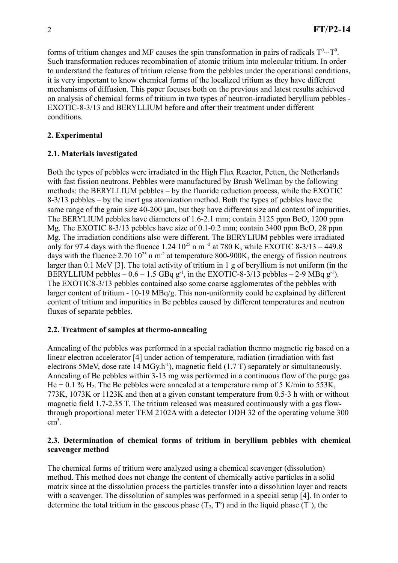forms of tritium changes and MF causes the spin transformation in pairs of radicals  $T^0 \cdots T^0$ . Such transformation reduces recombination of atomic tritium into molecular tritium. In order to understand the features of tritium release from the pebbles under the operational conditions, it is very important to know chemical forms of the localized tritium as they have different mechanisms of diffusion. This paper focuses both on the previous and latest results achieved on analysis of chemical forms of tritium in two types of neutron-irradiated beryllium pebbles - EXOTIC-8-3/13 and BERYLLIUM before and after their treatment under different conditions.

# **2. Experimental**

# **2.1. Materials investigated**

Both the types of pebbles were irradiated in the High Flux Reactor, Petten, the Netherlands with fast fission neutrons. Pebbles were manufactured by Brush Wellman by the following methods: the BERYLLIUM pebbles – by the fluoride reduction process, while the EXOTIC 8-3/13 pebbles – by the inert gas atomization method. Both the types of pebbles have the same range of the grain size 40-200 um, but they have different size and content of impurities. The BERYLIUM pebbles have diameters of 1.6-2.1 mm; contain 3125 ppm BeO, 1200 ppm Mg. The EXOTIC 8-3/13 pebbles have size of 0.1-0.2 mm; contain 3400 ppm BeO, 28 ppm Mg. The irradiation conditions also were different. The BERYLIUM pebbles were irradiated only for 97.4 days with the fluence 1.24  $10^{25}$  n m<sup>-2</sup> at 780 K, while EXOTIC 8-3/13 – 449.8 days with the fluence 2.70  $10^{25}$  n m<sup>-2</sup> at temperature 800-900K, the energy of fission neutrons larger than 0.1 MeV [3]. The total activity of tritium in 1 g of beryllium is not uniform (in the BERYLLIUM pebbles  $-0.6 - 1.5$  GBq  $g^{-1}$ , in the EXOTIC-8-3/13 pebbles  $-$  2-9 MBq  $g^{-1}$ ). The EXOTIC8-3/13 pebbles contained also some coarse agglomerates of the pebbles with larger content of tritium - 10-19 MBq/g. This non-uniformity could be explained by different content of tritium and impurities in Be pebbles caused by different temperatures and neutron fluxes of separate pebbles.

## **2.2. Treatment of samples at thermo-annealing**

Annealing of the pebbles was performed in a special radiation thermo magnetic rig based on a linear electron accelerator [4] under action of temperature, radiation (irradiation with fast electrons 5MeV, dose rate  $14 \text{ MGy.h}^{-1}$ ), magnetic field (1.7 T) separately or simultaneously. Annealing of Be pebbles within 3-13 mg was performed in a continuous flow of the purge gas He  $+$  0.1 % H<sub>2</sub>. The Be pebbles were annealed at a temperature ramp of 5 K/min to 553K. 773K, 1073K or 1123K and then at a given constant temperature from 0.5-3 h with or without magnetic field 1.7-2.35 T. The tritium released was measured continuously with a gas flowthrough proportional meter TEM 2102A with a detector DDH 32 of the operating volume 300 cm 3 .

## **2.3. Determination of chemical forms of tritium in beryllium pebbles with chemical scavenger method**

The chemical forms of tritium were analyzed using a chemical scavenger (dissolution) method. This method does not change the content of chemically active particles in a solid matrix since at the dissolution process the particles transfer into a dissolution layer and reacts with a scavenger. The dissolution of samples was performed in a special setup [4]. In order to determine the total tritium in the gaseous phase  $(T_2, T^{\circ})$  and in the liquid phase  $(T^{\circ})$ , the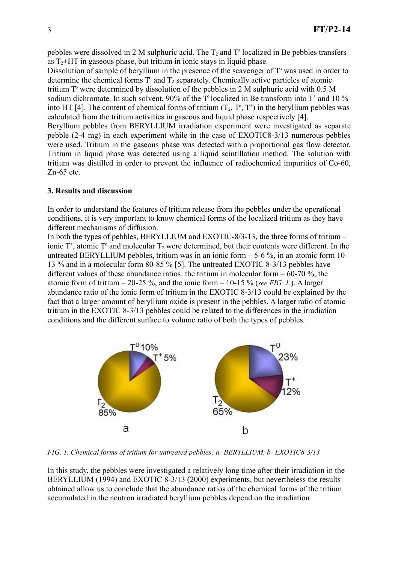pebbles were dissolved in 2 M sulphuric acid. The  $T_2$  and  $T<sup>o</sup>$  localized in Be pebbles transfers as  $T_2$ +HT in gaseous phase, but tritium in ionic stays in liquid phase.

Dissolution of sample of beryllium in the presence of the scavenger of  $T<sup>o</sup>$  was used in order to determine the chemical forms  $T<sup>o</sup>$  and  $T<sub>2</sub>$  separately. Chemically active particles of atomic tritium  $T<sup>o</sup>$  were determined by dissolution of the pebbles in 2 M sulphuric acid with 0.5 M sodium dichromate. In such solvent, 90% of the T localized in Be transform into T<sup>+</sup> and 10 % into HT [4]. The content of chemical forms of tritium  $(T_2, T^2, T^4)$  in the beryllium pebbles was calculated from the tritium activities in gaseous and liquid phase respectively [4]. Beryllium pebbles from BERYLLIUM irradiation experiment were investigated as separate

pebble (2-4 mg) in each experiment while in the case of EXOTIC8-3/13 numerous pebbles were used. Tritium in the gaseous phase was detected with a proportional gas flow detector. Tritium in liquid phase was detected using a liquid scintillation method. The solution with tritium was distilled in order to prevent the influence of radiochemical impurities of Co-60, Zn-65 etc.

### **3. Results and discussion**

In order to understand the features of tritium release from the pebbles under the operational conditions, it is very important to know chemical forms of the localized tritium as they have different mechanisms of diffusion.

In both the types of pebbles, BERYLLIUM and EXOTIC-8/3-13, the three forms of tritium – ionic  $T^*$ , atomic  $T^*$  and molecular  $T_2$  were determined, but their contents were different. In the untreated BERYLLIUM pebbles, tritium was in an ionic form  $-5-6\%$ , in an atomic form 10-13 % and in a molecular form 80-85 % [5]. The untreated EXOTIC 8-3/13 pebbles have different values of these abundance ratios: the tritium in molecular form  $-60-70$  %, the atomic form of tritium  $-20-25\%$ , and the ionic form  $-10-15\%$  (*see FIG. 1.*). A larger abundance ratio of the ionic form of tritium in the EXOTIC 8-3/13 could be explained by the fact that a larger amount of beryllium oxide is present in the pebbles. A larger ratio of atomic tritium in the EXOTIC 8-3/13 pebbles could be related to the differences in the irradiation conditions and the different surface to volume ratio of both the types of pebbles.



*FIG. 1. Chemical forms of tritium for untreated pebbles: a- BERYLLIUM, b- EXOTIC8-3/13*

In this study, the pebbles were investigated a relatively long time after their irradiation in the BERYLLIUM (1994) and EXOTIC 8-3/13 (2000) experiments, but nevertheless the results obtained allow us to conclude that the abundance ratios of the chemical forms of the tritium accumulated in the neutron irradiated beryllium pebbles depend on the irradiation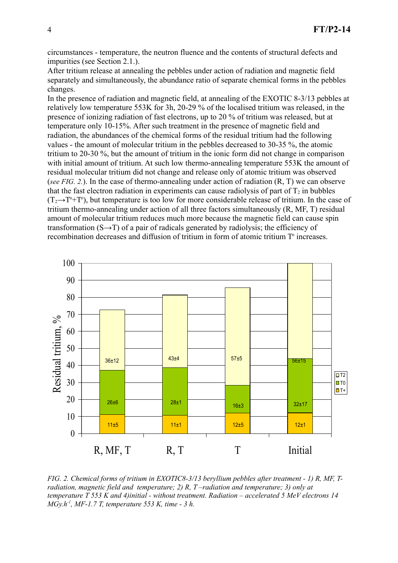circumstances - temperature, the neutron fluence and the contents of structural defects and impurities (see Section 2.1.).

After tritium release at annealing the pebbles under action of radiation and magnetic field separately and simultaneously, the abundance ratio of separate chemical forms in the pebbles changes.

In the presence of radiation and magnetic field, at annealing of the EXOTIC 8-3/13 pebbles at relatively low temperature 553K for 3h, 20-29 % of the localised tritium was released, in the presence of ionizing radiation of fast electrons, up to 20 % of tritium was released, but at temperature only 10-15%. After such treatment in the presence of magnetic field and radiation, the abundances of the chemical forms of the residual tritium had the following values - the amount of molecular tritium in the pebbles decreased to 30-35 %, the atomic tritium to 20-30 %, but the amount of tritium in the ionic form did not change in comparison with initial amount of tritium. At such low thermo-annealing temperature 553K the amount of residual molecular tritium did not change and release only of atomic tritium was observed (*see FIG. 2.*). In the case of thermo-annealing under action of radiation (R, T) we can observe that the fast electron radiation in experiments can cause radiolysis of part of  $T_2$  in bubbles  $(T_2 \rightarrow T^*+T^0)$ , but temperature is too low for more considerable release of tritium. In the case of tritium thermo-annealing under action of all three factors simultaneously (R, MF, T) residual amount of molecular tritium reduces much more because the magnetic field can cause spin transformation  $(S \rightarrow T)$  of a pair of radicals generated by radiolysis; the efficiency of recombination decreases and diffusion of tritium in form of atomic tritium T<sup>o</sup> increases.



*FIG. 2. Chemical forms of tritium in EXOTIC8-3/13 beryllium pebbles after treatment - 1) R, MF, Tradiation, magnetic field and temperature; 2) R, T –radiation and temperature; 3) only at temperature T 553 K and 4)initial - without treatment. Radiation – accelerated 5 MeV electrons 14 MGy.h-1 , MF-1.7 T, temperature 553 K, time - 3 h.*